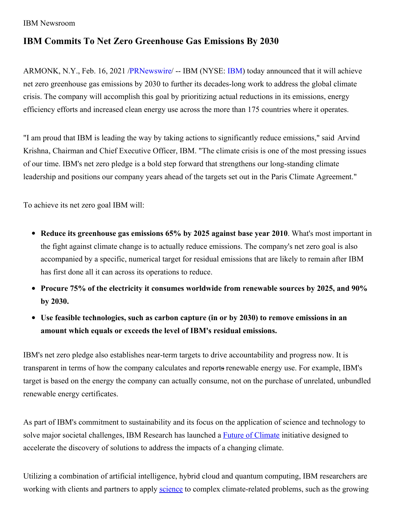## IBM Newsroom

## **IBM Commits To Net Zero Greenhouse Gas Emissions By 2030**

ARMONK, N.Y., Feb. 16, 2021 [/PRNewswire](http://www.prnewswire.com/)/ -- IBM (NYSE: [IBM\)](https://c212.net/c/link/?t=0&l=en&o=3068509-1&h=2956050037&u=http%3A%2F%2Fwww.ibm.com%2Finvestor&a=IBM) today announced that it will achieve net zero greenhouse gas emissions by 2030 to further its decades-long work to address the global climate crisis. The company will accomplish this goal by prioritizing actual reductions in its emissions, energy efficiency efforts and increased clean energy use across the more than 175 countries where it operates.

"I am proud that IBM is leading the way by taking actions to significantly reduce emissions," said Arvind Krishna, Chairman and Chief Executive Officer, IBM. "The climate crisis is one of the most pressing issues of our time. IBM's net zero pledge is a bold step forward that strengthens our long-standing climate leadership and positions our company years ahead of the targets set out in the Paris Climate Agreement."

To achieve its net zero goal IBM will:

- **Reduce its greenhouse gas emissions 65% by 2025 against base year 2010**. What's most important in the fight against climate change is to actually reduce emissions. The company's net zero goal is also accompanied by a specific, numerical target for residual emissions that are likely to remain after IBM has first done all it can across its operations to reduce.
- **Procure 75% of the electricity it consumes worldwide from renewable sources by 2025, and 90% by 2030.**
- **Use feasible technologies, such as carbon capture (in or by 2030) to remove emissions in an amount which equals or exceeds the level of IBM's residual emissions.**

IBM's net zero pledge also establishes near-term targets to drive accountability and progress now. It is transparent in terms of how the company calculates and reports renewable energy use. For example, IBM's target is based on the energy the company can actually consume, not on the purchase of unrelated, unbundled renewable energy certificates.

As part of IBM's commitment to sustainability and its focus on the application of science and technology to solve major societal challenges, IBM Research has launched a **Future of [Climate](https://c212.net/c/link/?t=0&l=en&o=3068509-1&h=2205842035&u=https%3A%2F%2Fnewsroom.ibm.com%2FIBM-Joins-the-MIT-Climate-and-Sustainability-Consortium-Part-of-a-Broader-IBM-Future-of-Climate-Initiative&a=Future+of+Climate)** initiative designed to accelerate the discovery of solutions to address the impacts of a changing climate.

Utilizing a combination of artificial intelligence, hybrid cloud and quantum computing, IBM researchers are working with clients and partners to apply [science](https://c212.net/c/link/?t=0&l=en&o=3068509-1&h=3205071019&u=https%3A%2F%2Fwww.research.ibm.com%2Furgencyofscience%2F&a=science) to complex climate-related problems, such as the growing